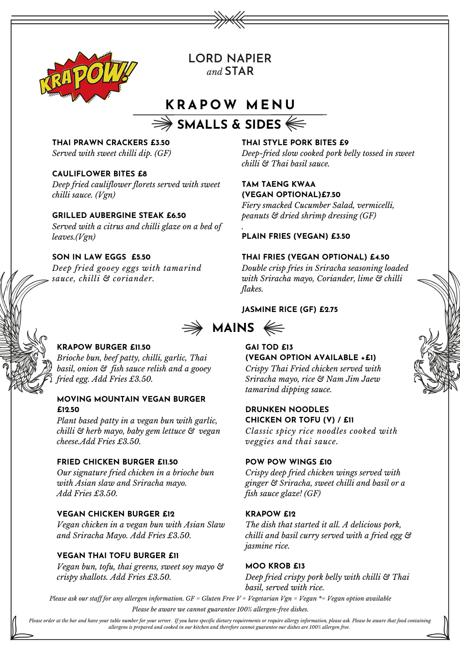

**LORD NAPIER** and  $STAR$ 

# **K RAP O W M E N U**

# **SMALLS & SIDES**

**THAI PRAWN CRACKERS £3.50** *Served with sweet chilli dip. (GF)*

# **CAULIFLOWER BITES £8**

*Deep fried cauliflower florets served with sweet chilli sauce. (Vgn)*

## **GRILLED AUBERGINE STEAK £6.50**

*Served with a citrus and chilli glaze on a bed of leaves.(Vgn)*

# **SON IN LAW EGGS £5.50**

*Deep fried gooey eggs with tamarind sauce, chilli & coriander.*

# **THAI STYLE PORK BITES £9**

*Deep-fried slow cooked pork belly tossed in sweet chilli & Thai basil sauce.*

# **TAM TAENG KWAA (VEGAN OPTIONAL)£7.50**

*Fiery smacked Cucumber Salad, vermicelli, peanuts & dried shrimp dressing (GF)*

#### *.* **PLAIN FRIES (VEGAN) £3.50**

#### **THAI FRIES (VEGAN OPTIONAL) £4.50**

*Double crisp fries in Sriracha seasoning loaded with Sriracha mayo, Coriander, lime & chilli flakes.*

#### **JASMINE RICE (GF) £2.75**



# **KRAPOW BURGER £11.50**

*Brioche bun, beef patty, chilli, garlic, Thai basil, onion & fish sauce relish and a gooey fried egg. Add Fries £3.50.*

# **MOVING MOUNTAIN VEGAN BURGER £12.50**

*Plant based patty in a vegan bun with garlic, chilli & herb mayo, baby gem lettuce & vegan cheese.Add Fries £3.50.*

#### **FRIED CHICKEN BURGER £11.50**

*Our signature fried chicken in a brioche bun with Asian slaw and Sriracha mayo. Add Fries £3.50.*

#### **VEGAN CHICKEN BURGER £12**

*Vegan chicken in a vegan bun with Asian Slaw and Sriracha Mayo. Add Fries £3.50.*

#### **VEGAN THAI TOFU BURGER £11**

*Vegan bun, tofu, thai greens, sweet soy mayo & crispy shallots. Add Fries £3.50.*

# **GAI TOD £13**

**(VEGAN OPTION AVAILABLE +£1)** *Crispy Thai Fried chicken served with Sriracha mayo, rice & Nam Jim Jaew tamarind dipping sauce.*

### **DRUNKEN NOODLES CHICKEN OR TOFU (V) / £11**

*Classic spicy rice noodles cooked with veggies and thai sauce.*

#### **POW POW WINGS £10**

*Crispy deep fried chicken wings served with ginger & Sriracha, sweet chilli and basil or a fish sauce glaze! (GF)*

#### **KRAPOW £12**

*The dish that started it all. A delicious pork, chilli and basil curry served with a fried egg & jasmine rice.*

#### **MOO KROB £13**

*Deep fried crispy pork belly with chilli & Thai basil, served with rice.*

Please ask our staff for any allergen information.  $GF = Gluten$  Free  $V = Vegetarian Vgn = Vegan * = Vegan$  option available *Please be aware we cannot guarantee 100% allergen-free dishes.*

Please order at the bar and have your table number for your server. If you have specific dietary requirements or require allergy information, please ask. Please be aware that food containing allergens is prepared and cooked in our kitchen and therefore cannot guarantee our dishes are 100% allergen free.